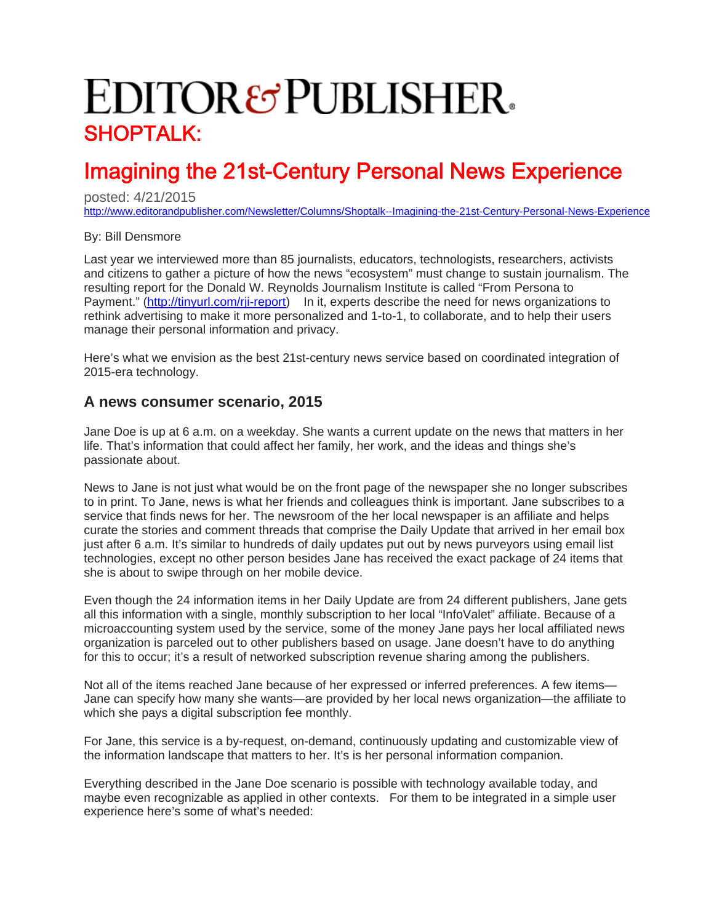## **EDITOR&PUBLISHER** SHOPTALK:

## Imagining the 21st-Century Personal News Experience

posted: 4/21/2015

<http://www.editorandpublisher.com/Newsletter/Columns/Shoptalk--Imagining-the-21st-Century-Personal-News-Experience>

## By: Bill Densmore

Last year we interviewed more than 85 journalists, educators, technologists, researchers, activists and citizens to gather a picture of how the news "ecosystem" must change to sustain journalism. The resulting report for the Donald W. Reynolds Journalism Institute is called "From Persona to Payment." [\(http://tinyurl.com/rji-report](http://tinyurl.com/rji-report)) In it, experts describe the need for news organizations to rethink advertising to make it more personalized and 1-to-1, to collaborate, and to help their users manage their personal information and privacy.

Here's what we envision as the best 21st-century news service based on coordinated integration of 2015-era technology.

## **A news consumer scenario, 2015**

Jane Doe is up at 6 a.m. on a weekday. She wants a current update on the news that matters in her life. That's information that could affect her family, her work, and the ideas and things she's passionate about.

News to Jane is not just what would be on the front page of the newspaper she no longer subscribes to in print. To Jane, news is what her friends and colleagues think is important. Jane subscribes to a service that finds news for her. The newsroom of the her local newspaper is an affiliate and helps curate the stories and comment threads that comprise the Daily Update that arrived in her email box just after 6 a.m. It's similar to hundreds of daily updates put out by news purveyors using email list technologies, except no other person besides Jane has received the exact package of 24 items that she is about to swipe through on her mobile device.

Even though the 24 information items in her Daily Update are from 24 different publishers, Jane gets all this information with a single, monthly subscription to her local "InfoValet" affiliate. Because of a microaccounting system used by the service, some of the money Jane pays her local affiliated news organization is parceled out to other publishers based on usage. Jane doesn't have to do anything for this to occur; it's a result of networked subscription revenue sharing among the publishers.

Not all of the items reached Jane because of her expressed or inferred preferences. A few items— Jane can specify how many she wants—are provided by her local news organization—the affiliate to which she pays a digital subscription fee monthly.

For Jane, this service is a by-request, on-demand, continuously updating and customizable view of the information landscape that matters to her. It's is her personal information companion.

Everything described in the Jane Doe scenario is possible with technology available today, and maybe even recognizable as applied in other contexts. For them to be integrated in a simple user experience here's some of what's needed: